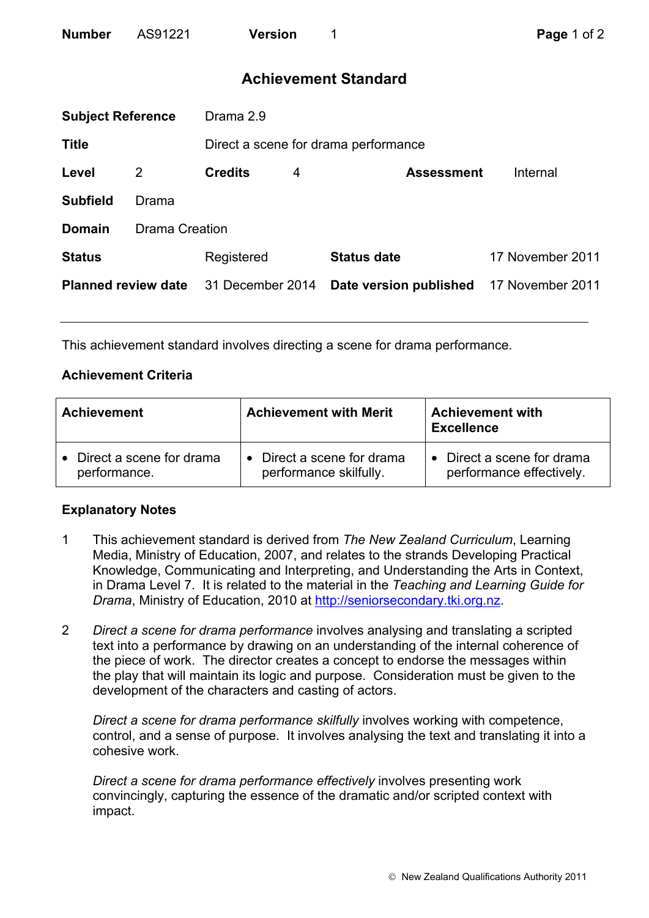| <b>Number</b> | AS91221 | Version |
|---------------|---------|---------|
|               |         |         |

## **Achievement Standard**

| <b>Subject Reference</b>   |                       | Drama 2.9                            |   |                        |                  |
|----------------------------|-----------------------|--------------------------------------|---|------------------------|------------------|
| <b>Title</b>               |                       | Direct a scene for drama performance |   |                        |                  |
| Level                      | 2                     | <b>Credits</b>                       | 4 | <b>Assessment</b>      | Internal         |
| <b>Subfield</b>            | Drama                 |                                      |   |                        |                  |
| <b>Domain</b>              | <b>Drama Creation</b> |                                      |   |                        |                  |
| <b>Status</b>              |                       | Registered                           |   | <b>Status date</b>     | 17 November 2011 |
| <b>Planned review date</b> |                       | 31 December 2014                     |   | Date version published | 17 November 2011 |
|                            |                       |                                      |   |                        |                  |

This achievement standard involves directing a scene for drama performance.

## **Achievement Criteria**

| <b>Achievement</b>         | <b>Achievement with Merit</b> | <b>Achievement with</b><br><b>Excellence</b> |  |
|----------------------------|-------------------------------|----------------------------------------------|--|
| • Direct a scene for drama | • Direct a scene for drama    | • Direct a scene for drama                   |  |
| performance.               | performance skilfully.        | performance effectively.                     |  |

## **Explanatory Notes**

- 1 This achievement standard is derived from *The New Zealand Curriculum*, Learning Media, Ministry of Education, 2007, and relates to the strands Developing Practical Knowledge, Communicating and Interpreting, and Understanding the Arts in Context, in Drama Level 7. It is related to the material in the *Teaching and Learning Guide for Drama*, Ministry of Education, 2010 at http://seniorsecondary.tki.org.nz.
- 2 *Direct a scene for drama performance* involves analysing and translating a scripted text into a performance by drawing on an understanding of the internal coherence of the piece of work. The director creates a concept to endorse the messages within the play that will maintain its logic and purpose. Consideration must be given to the development of the characters and casting of actors.

*Direct a scene for drama performance skilfully* involves working with competence, control, and a sense of purpose. It involves analysing the text and translating it into a cohesive work.

*Direct a scene for drama performance effectively* involves presenting work convincingly, capturing the essence of the dramatic and/or scripted context with impact.